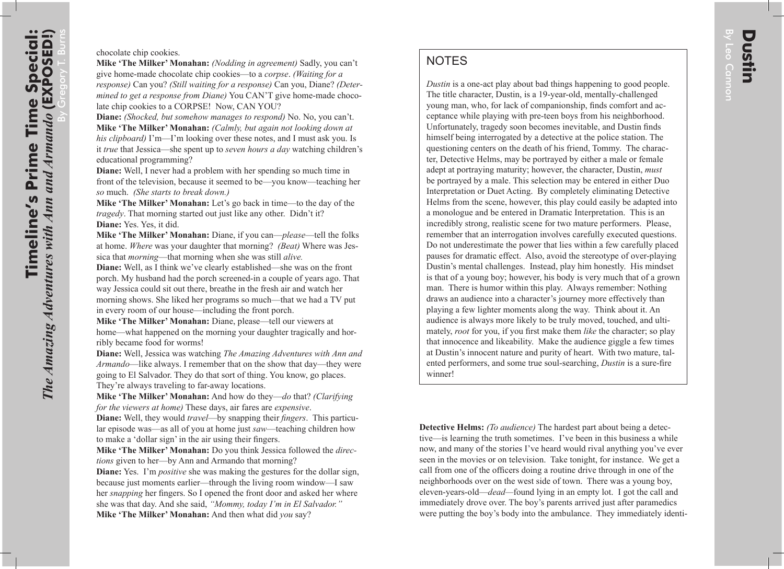**NOTES** 

*Dustin* is a one-act play about bad things happening to good people. The title character, Dustin, is a 19-year-old, mentally-challenged young man, who, for lack of companionship, finds comfort and acceptance while playing with pre-teen boys from his neighborhood. Unfortunately, tragedy soon becomes inevitable, and Dustin finds himself being interrogated by a detective at the police station. The questioning centers on the death of his friend, Tommy. The character, Detective Helms, may be portrayed by either a male or female adept at portraying maturity; however, the character, Dustin, *must* be portrayed by a male. This selection may be entered in either Duo Interpretation or Duet Acting. By completely eliminating Detective Helms from the scene, however, this play could easily be adapted into a monologue and be entered in Dramatic Interpretation. This is an incredibly strong, realistic scene for two mature performers. Please, remember that an interrogation involves carefully executed questions. Do not underestimate the power that lies within a few carefully placed pauses for dramatic effect. Also, avoid the stereotype of over-playing Dustin's mental challenges. Instead, play him honestly. His mindset is that of a young boy; however, his body is very much that of a grown man. There is humor within this play. Always remember: Nothing draws an audience into a character's journey more effectively than playing a few lighter moments along the way. Think about it. An audience is always more likely to be truly moved, touched, and ultimately, *root* for you, if you first make them *like* the character; so play that innocence and likeability. Make the audience giggle a few times at Dustin's innocent nature and purity of heart. With two mature, talented performers, and some true soul-searching, *Dustin* is a sure-fire winner!

**Detective Helms:** *(To audience)* The hardest part about being a detective—is learning the truth sometimes. I've been in this business a while now, and many of the stories I've heard would rival anything you've ever seen in the movies or on television. Take tonight, for instance. We get a call from one of the officers doing a routine drive through in one of the neighborhoods over on the west side of town. There was a young boy, eleven-years-old—*dead—*found lying in an empty lot. I got the call and immediately drove over. The boy's parents arrived just after paramedics were putting the boy's body into the ambulance. They immediately identi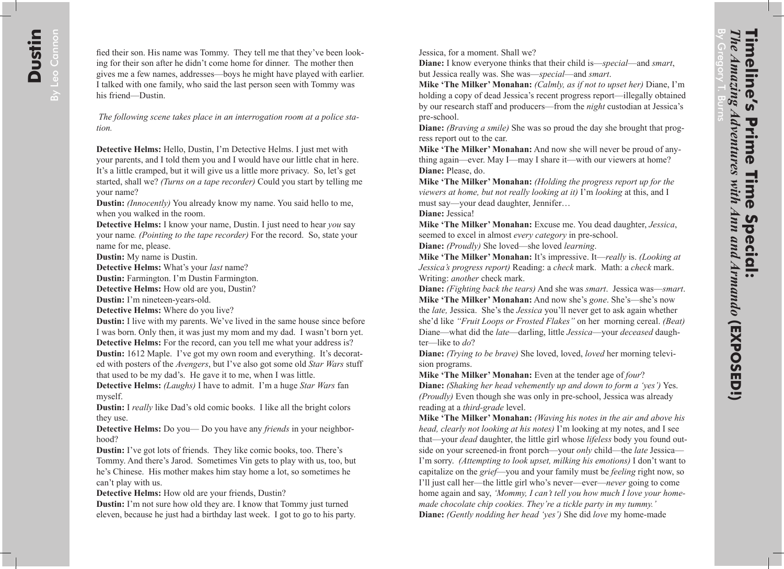fied their son. His name was Tommy. They tell me that they've been looking for their son after he didn't come home for dinner. The mother then gives me a few names, addresses—boys he might have played with earlier. I talked with one family, who said the last person seen with Tommy was his friend—Dustin.

*The following scene takes place in an interrogation room at a police station.*

**Detective Helms:** Hello, Dustin, I'm Detective Helms. I just met with your parents, and I told them you and I would have our little chat in here. It's a little cramped, but it will give us a little more privacy. So, let's get started, shall we? *(Turns on a tape recorder)* Could you start by telling me your name?

**Dustin:** *(Innocently)* You already know my name. You said hello to me, when you walked in the room.

**Detective Helms:** I know your name, Dustin. I just need to hear *you* say your name*. (Pointing to the tape recorder)* For the record. So, state your name for me, please.

**Dustin:** My name is Dustin.

**Detective Helms:** What's your *last* name?

**Dustin:** Farmington. I'm Dustin Farmington.

**Detective Helms:** How old are you, Dustin?

**Dustin:** I'm nineteen-years-old.

**Detective Helms:** Where do you live?

**Dustin:** I live with my parents. We've lived in the same house since before I was born. Only then, it was just my mom and my dad. I wasn't born yet. **Detective Helms:** For the record, can you tell me what your address is?

**Dustin:** 1612 Maple. I've got my own room and everything. It's decorated with posters of the *Avengers*, but I've also got some old *Star Wars* stuff that used to be my dad's. He gave it to me, when I was little.

**Detective Helms:** *(Laughs)* I have to admit. I'm a huge *Star Wars* fan myself.

**Dustin:** I *really* like Dad's old comic books. I like all the bright colors they use.

**Detective Helms:** Do you— Do you have any *friends* in your neighborhood?

**Dustin:** I've got lots of friends. They like comic books, too. There's Tommy. And there's Jarod. Sometimes Vin gets to play with us, too, but he's Chinese. His mother makes him stay home a lot, so sometimes he can't play with us.

**Detective Helms:** How old are your friends, Dustin?

**Dustin:** I'm not sure how old they are. I know that Tommy just turned eleven, because he just had a birthday last week. I got to go to his party.